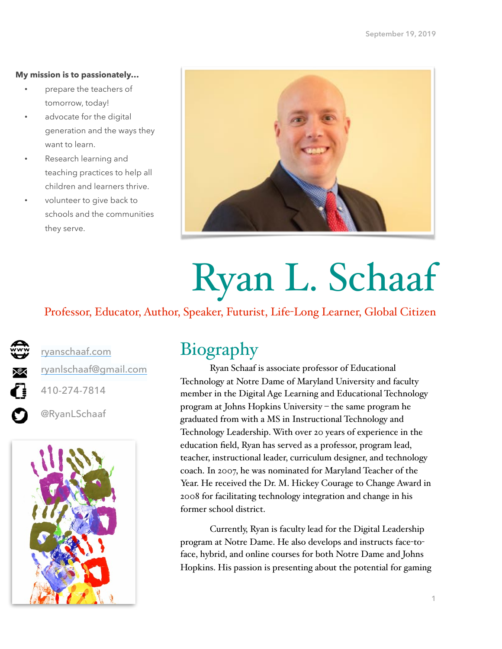### **My mission is to passionately…**

- prepare the teachers of tomorrow, today!
- advocate for the digital generation and the ways they want to learn.
- Research learning and teaching practices to help all children and learners thrive.
- volunteer to give back to schools and the communities they serve.



# Ryan L. Schaaf

## Professor, Educator, Author, Speaker, Futurist, Life-Long Learner, Global Citizen

**K**  $\mathbf O$ 

[ryanschaaf.com](http://ryanschaaf.com) [ryanlschaaf@gmail.com](mailto:ryanlschaaf@gmail.com)

410-274-7814

@RyanLSchaaf



# Biography

Ryan Schaaf is associate professor of Educational Technology at Notre Dame of Maryland University and faculty member in the Digital Age Learning and Educational Technology program at Johns Hopkins University – the same program he graduated from with a MS in Instructional Technology and Technology Leadership. With over 20 years of experience in the education field, Ryan has served as a professor, program lead, teacher, instructional leader, curriculum designer, and technology coach. In 2007, he was nominated for Maryland Teacher of the Year. He received the Dr. M. Hickey Courage to Change Award in 2008 for facilitating technology integration and change in his former school district.

Currently, Ryan is faculty lead for the Digital Leadership program at Notre Dame. He also develops and instructs face-toface, hybrid, and online courses for both Notre Dame and Johns Hopkins. His passion is presenting about the potential for gaming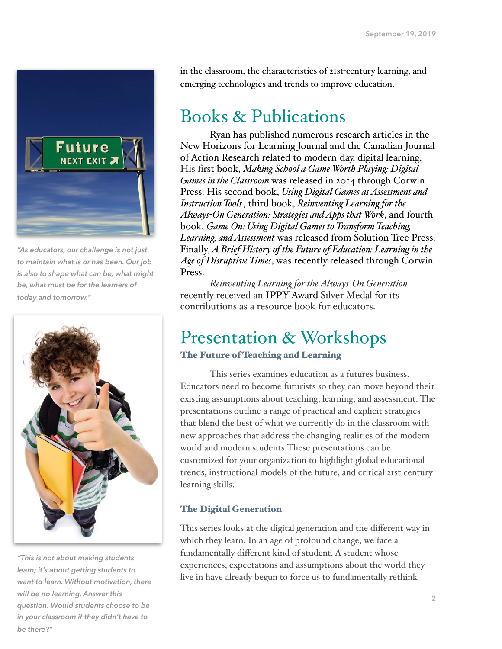

*"As educators, our challenge is not just to maintain what is or has been. Our job is also to shape what can be, what might be, what must be for the learners of today and tomorrow."* 



*"This is not about making students learn; it's about getting students to want to learn. Without motivation, there will be no learning. Answer this question: Would students choose to be in your classroom if they didn't have to be there?"* 

in the classroom, the characteristics of 21st-century learning, and emerging technologies and trends to improve education.

# Books & Publications

Ryan has published numerous research articles in the New Horizons for Learning Journal and the Canadian Journal of Action Research related to modern-day, digital learning. His first book, *[Making School a Game Worth Playing: Digital](https://us.corwin.com/en-us/nam/making-school-a-game-worth-playing/book243401)  [Games in the Classroom](https://us.corwin.com/en-us/nam/making-school-a-game-worth-playing/book243401)* was released in 2014 through Corwin Press. His second book, *[Using Digital Games as Assessment and](http://www.solution-tree.com/publisher/solution-tree/using-digital-games-as-assessment-and-instruction-tools-bkf666.html)  [Instruction Tools](http://www.solution-tree.com/publisher/solution-tree/using-digital-games-as-assessment-and-instruction-tools-bkf666.html)*, third book, *[Reinventing Learning for the](http://www.solution-tree.com/landing/)  Always-[On Generation: Strategies and Apps that Work](http://www.solution-tree.com/landing/)*, and fourth book, *[Game On: Using Digital Games to Transform Teaching,](https://www.solutiontree.com/topic/21)  [Learning, and Assessment](https://www.solutiontree.com/topic/21)* was released from Solution Tree Press. Finally*[, A Brief History of the Future of Education: Learning in the](https://us.corwin.com/en-us/nam/a-brief-history-of-the-future-of-education/book26594)  [Age of Disruptive Times](https://us.corwin.com/en-us/nam/a-brief-history-of-the-future-of-education/book26594)*, was recently released through Corwin Press.

*Reinventing Learning for the Always-On Generation* recently received an [IPPY Award](http://www.independentpublisher.com/ar) Silver Medal for its contributions as a resource book for educators.

# Presentation & Workshops

## The Future of Teaching and Learning

This series examines education as a futures business. Educators need to become futurists so they can move beyond their existing assumptions about teaching, learning, and assessment. The presentations outline a range of practical and explicit strategies that blend the best of what we currently do in the classroom with new approaches that address the changing realities of the modern world and modern students.These presentations can be customized for your organization to highlight global educational trends, instructional models of the future, and critical 21st-century learning skills.

## The Digital Generation

This series looks at the digital generation and the different way in which they learn. In an age of profound change, we face a fundamentally different kind of student. A student whose experiences, expectations and assumptions about the world they live in have already begun to force us to fundamentally rethink